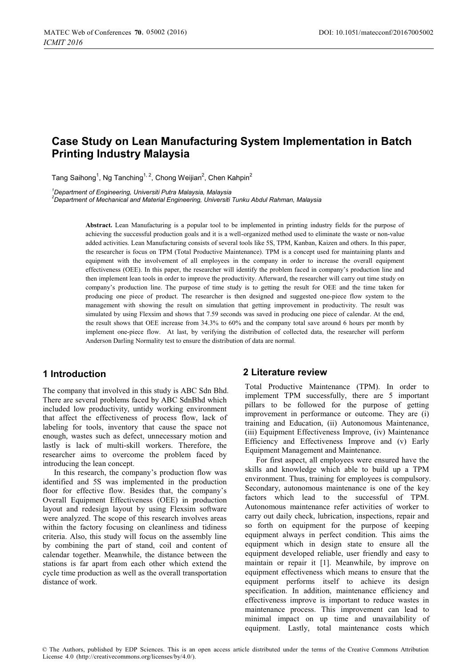# **Case Study on Lean Manufacturing System Implementation in Batch Printing Industry Malaysia**

Tang Saihong, Ng Tanching<sup>1</sup>, Chong Weijian, Chen Kahpin

*1 Department of Engineering, Universiti Putra Malaysia, Malaysia* 

*2 Department of Mechanical and Material Engineering, Universiti Tunku Abdul Rahman, Malaysia* 

**Abstract.** Lean Manufacturing is a popular tool to be implemented in printing industry fields for the purpose of achieving the successful production goals and it is a well-organized method used to eliminate the waste or non-value added activities. Lean Manufacturing consists of several tools like 5S, TPM, Kanban, Kaizen and others. In this paper, the researcher is focus on TPM (Total Productive Maintenance). TPM is a concept used for maintaining plants and equipment with the involvement of all employees in the company in order to increase the overall equipment effectiveness (OEE). In this paper, the researcher will identify the problem faced in company's production line and then implement lean tools in order to improve the productivity. Afterward, the researcher will carry out time study on company's production line. The purpose of time study is to getting the result for OEE and the time taken for producing one piece of product. The researcher is then designed and suggested one-piece flow system to the management with showing the result on simulation that getting improvement in productivity. The result was simulated by using Flexsim and shows that 7.59 seconds was saved in producing one piece of calendar. At the end, the result shows that OEE increase from 34.3% to 60% and the company total save around 6 hours per month by implement one-piece flow. At last, by verifying the distribution of collected data, the researcher will perform Anderson Darling Normality test to ensure the distribution of data are normal.

#### **1 Introduction**

The company that involved in this study is ABC Sdn Bhd. There are several problems faced by ABC SdnBhd which included low productivity, untidy working environment that affect the effectiveness of process flow, lack of labeling for tools, inventory that cause the space not enough, wastes such as defect, unnecessary motion and lastly is lack of multi-skill workers. Therefore, the researcher aims to overcome the problem faced by introducing the lean concept.

In this research, the company's production flow was identified and 5S was implemented in the production floor for effective flow. Besides that, the company's Overall Equipment Effectiveness (OEE) in production layout and redesign layout by using Flexsim software were analyzed. The scope of this research involves areas within the factory focusing on cleanliness and tidiness criteria. Also, this study will focus on the assembly line by combining the part of stand, coil and content of calendar together. Meanwhile, the distance between the stations is far apart from each other which extend the cycle time production as well as the overall transportation distance of work.

#### **2 Literature review**

Total Productive Maintenance (TPM). In order to implement TPM successfully, there are 5 important pillars to be followed for the purpose of getting improvement in performance or outcome. They are (i) training and Education, (ii) Autonomous Maintenance, (iii) Equipment Effectiveness Improve, (iv) Maintenance Efficiency and Effectiveness Improve and (v) Early Equipment Management and Maintenance.

For first aspect, all employees were ensured have the skills and knowledge which able to build up a TPM environment. Thus, training for employees is compulsory. Secondary, autonomous maintenance is one of the key factors which lead to the successful of TPM. Autonomous maintenance refer activities of worker to carry out daily check, lubrication, inspections, repair and so forth on equipment for the purpose of keeping equipment always in perfect condition. This aims the equipment which in design state to ensure all the equipment developed reliable, user friendly and easy to maintain or repair it [1]. Meanwhile, by improve on equipment effectiveness which means to ensure that the equipment performs itself to achieve its design specification. In addition, maintenance efficiency and effectiveness improve is important to reduce wastes in maintenance process. This improvement can lead to minimal impact on up time and unavailability of equipment. Lastly, total maintenance costs which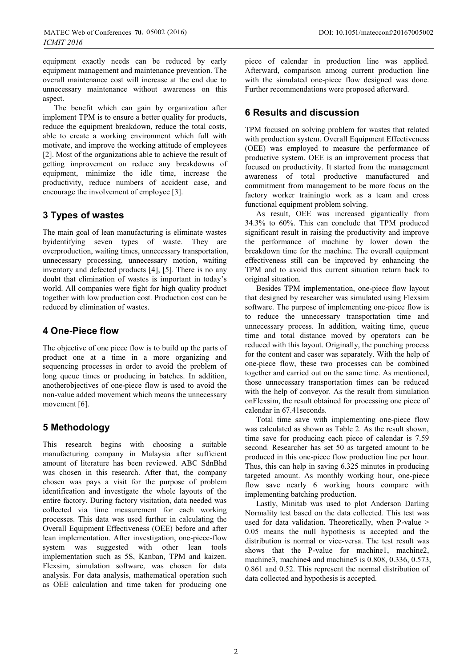equipment exactly needs can be reduced by early equipment management and maintenance prevention. The overall maintenance cost will increase at the end due to unnecessary maintenance without awareness on this aspect.

The benefit which can gain by organization after implement TPM is to ensure a better quality for products, reduce the equipment breakdown, reduce the total costs, able to create a working environment which full with motivate, and improve the working attitude of employees [2]. Most of the organizations able to achieve the result of getting improvement on reduce any breakdowns of equipment, minimize the idle time, increase the productivity, reduce numbers of accident case, and encourage the involvement of employee [3].

# **3 Types of wastes**

The main goal of lean manufacturing is eliminate wastes byidentifying seven types of waste. They are overproduction, waiting times, unnecessary transportation, unnecessary processing, unnecessary motion, waiting inventory and defected products [4], [5]. There is no any doubt that elimination of wastes is important in today's world. All companies were fight for high quality product together with low production cost. Production cost can be reduced by elimination of wastes.

### **4 One-Piece flow**

The objective of one piece flow is to build up the parts of product one at a time in a more organizing and sequencing processes in order to avoid the problem of long queue times or producing in batches. In addition, anotherobjectives of one-piece flow is used to avoid the non-value added movement which means the unnecessary movement [6].

### **5 Methodology**

This research begins with choosing a suitable manufacturing company in Malaysia after sufficient amount of literature has been reviewed. ABC SdnBhd was chosen in this research. After that, the company chosen was pays a visit for the purpose of problem identification and investigate the whole layouts of the entire factory. During factory visitation, data needed was collected via time measurement for each working processes. This data was used further in calculating the Overall Equipment Effectiveness (OEE) before and after lean implementation. After investigation, one-piece-flow system was suggested with other lean tools implementation such as 5S, Kanban, TPM and kaizen. Flexsim, simulation software, was chosen for data analysis. For data analysis, mathematical operation such as OEE calculation and time taken for producing one

piece of calendar in production line was applied. Afterward, comparison among current production line with the simulated one-piece flow designed was done. Further recommendations were proposed afterward.

## **6 Results and discussion**

TPM focused on solving problem for wastes that related with production system. Overall Equipment Effectiveness (OEE) was employed to measure the performance of productive system. OEE is an improvement process that focused on productivity. It started from the management awareness of total productive manufactured and commitment from management to be more focus on the factory worker trainingto work as a team and cross functional equipment problem solving.

As result, OEE was increased gigantically from 34.3% to 60%. This can conclude that TPM produced significant result in raising the productivity and improve the performance of machine by lower down the breakdown time for the machine. The overall equipment effectiveness still can be improved by enhancing the TPM and to avoid this current situation return back to original situation.

Besides TPM implementation, one-piece flow layout that designed by researcher was simulated using Flexsim software. The purpose of implementing one-piece flow is to reduce the unnecessary transportation time and unnecessary process. In addition, waiting time, queue time and total distance moved by operators can be reduced with this layout. Originally, the punching process for the content and caser was separately. With the help of one-piece flow, these two processes can be combined together and carried out on the same time. As mentioned, those unnecessary transportation times can be reduced with the help of conveyor. As the result from simulation onFlexsim, the result obtained for processing one piece of calendar in 67.41seconds.

Total time save with implementing one-piece flow was calculated as shown as Table 2. As the result shown, time save for producing each piece of calendar is 7.59 second. Researcher has set 50 as targeted amount to be produced in this one-piece flow production line per hour. Thus, this can help in saving 6.325 minutes in producing targeted amount. As monthly working hour, one-piece flow save nearly 6 working hours compare with implementing batching production.

Lastly, Minitab was used to plot Anderson Darling Normality test based on the data collected. This test was used for data validation. Theoretically, when P-value > 0.05 means the null hypothesis is accepted and the distribution is normal or vice-versa. The test result was shows that the P-value for machine1, machine2, machine3, machine4 and machine5 is 0.808, 0.336, 0.573, 0.861 and 0.52. This represent the normal distribution of data collected and hypothesis is accepted.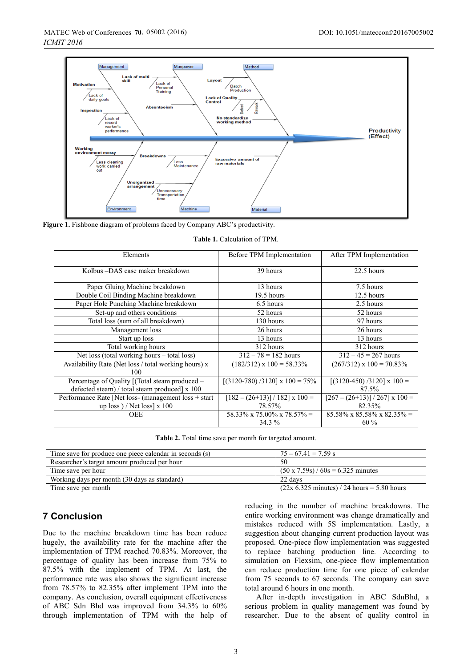

Figure 1. Fishbone diagram of problems faced by Company ABC's productivity.

|  | <b>Table 1.</b> Calculation of TPM. |  |
|--|-------------------------------------|--|
|  |                                     |  |

| Elements                                                    | Before TPM Implementation          | After TPM Implementation                  |
|-------------------------------------------------------------|------------------------------------|-------------------------------------------|
| Kolbus-DAS case maker breakdown                             | 39 hours                           | 22.5 hours                                |
| Paper Gluing Machine breakdown                              | 13 hours                           | 7.5 hours                                 |
| Double Coil Binding Machine breakdown                       | 19.5 hours                         | 12.5 hours                                |
| Paper Hole Punching Machine breakdown                       | 6.5 hours                          | 2.5 hours                                 |
| Set-up and others conditions                                | 52 hours                           | 52 hours                                  |
| Total loss (sum of all breakdown)                           | 130 hours                          | 97 hours                                  |
| Management loss                                             | 26 hours                           | 26 hours                                  |
| Start up loss                                               | 13 hours                           | 13 hours                                  |
| Total working hours                                         | 312 hours                          | 312 hours                                 |
| Net loss (total working hours $-$ total loss)               | $312 - 78 = 182$ hours             | $312 - 45 = 267$ hours                    |
| Availability Rate (Net loss / total working hours) x<br>100 | $(182/312) \times 100 = 58.33\%$   | $(267/312)$ x $100 = 70.83\%$             |
| Percentage of Quality [(Total steam produced –              | $[(3120-780)/3120]$ x $100 = 75\%$ | $[(3120-450)/3120] \times 100 =$          |
| defected steam) / total steam produced] x 100               |                                    | 87.5%                                     |
| Performance Rate [Net loss- (management loss + start)       | $[182 - (26+13)] / 182]$ x 100 =   | $[267 - (26+13)] / 267]$ x $100 =$        |
| up loss) / Net loss] $x 100$                                | 78.57%                             | 82.35%                                    |
| OEE                                                         | $58.33\%$ x 75.00% x 78.57% =      | $85.58\% \times 85.58\% \times 82.35\% =$ |
|                                                             | $34.3\%$                           | $60\%$                                    |

**Table 2.** Total time save per month for targeted amount.

| Time save for produce one piece calendar in seconds (s) | $75 - 67.41 = 7.59$ s                                 |
|---------------------------------------------------------|-------------------------------------------------------|
| Researcher's target amount produced per hour            | -50                                                   |
| Time save per hour                                      | $(50 \times 7.59) / 60s = 6.325$ minutes              |
| Working days per month (30 days as standard)            | 22 davs                                               |
| Time save per month                                     | $(22x 6.325 \text{ minutes})$ / 24 hours = 5.80 hours |

### **7 Conclusion**

Due to the machine breakdown time has been reduce hugely, the availability rate for the machine after the implementation of TPM reached 70.83%. Moreover, the percentage of quality has been increase from 75% to 87.5% with the implement of TPM. At last, the performance rate was also shows the significant increase from 78.57% to 82.35% after implement TPM into the company. As conclusion, overall equipment effectiveness of ABC Sdn Bhd was improved from 34.3% to 60% through implementation of TPM with the help of reducing in the number of machine breakdowns. The entire working environment was change dramatically and mistakes reduced with 5S implementation. Lastly, a suggestion about changing current production layout was proposed. One-piece flow implementation was suggested to replace batching production line. According to simulation on Flexsim, one-piece flow implementation can reduce production time for one piece of calendar from 75 seconds to 67 seconds. The company can save total around 6 hours in one month.

After in-depth investigation in ABC SdnBhd, a serious problem in quality management was found by researcher. Due to the absent of quality control in